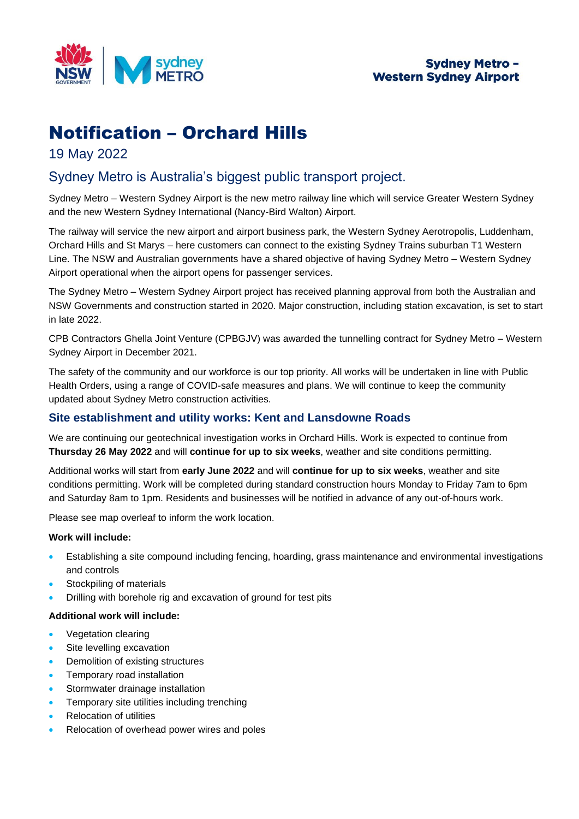

# Notification – Orchard Hills

## 19 May 2022

## Sydney Metro is Australia's biggest public transport project.

Sydney Metro – Western Sydney Airport is the new metro railway line which will service Greater Western Sydney and the new Western Sydney International (Nancy-Bird Walton) Airport.

The railway will service the new airport and airport business park, the Western Sydney Aerotropolis, Luddenham, Orchard Hills and St Marys – here customers can connect to the existing Sydney Trains suburban T1 Western Line. The NSW and Australian governments have a shared objective of having Sydney Metro – Western Sydney Airport operational when the airport opens for passenger services.

The Sydney Metro – Western Sydney Airport project has received planning approval from both the Australian and NSW Governments and construction started in 2020. Major construction, including station excavation, is set to start in late 2022.

CPB Contractors Ghella Joint Venture (CPBGJV) was awarded the tunnelling contract for Sydney Metro – Western Sydney Airport in December 2021.

The safety of the community and our workforce is our top priority. All works will be undertaken in line with Public Health Orders, using a range of COVID-safe measures and plans. We will continue to keep the community updated about Sydney Metro construction activities.

## **Site establishment and utility works: Kent and Lansdowne Roads**

We are continuing our geotechnical investigation works in Orchard Hills. Work is expected to continue from **Thursday 26 May 2022** and will **continue for up to six weeks**, weather and site conditions permitting.

Additional works will start from **early June 2022** and will **continue for up to six weeks**, weather and site conditions permitting. Work will be completed during standard construction hours Monday to Friday 7am to 6pm and Saturday 8am to 1pm. Residents and businesses will be notified in advance of any out-of-hours work.

Please see map overleaf to inform the work location.

## **Work will include:**

- Establishing a site compound including fencing, hoarding, grass maintenance and environmental investigations and controls
- Stockpiling of materials
- Drilling with borehole rig and excavation of ground for test pits

## **Additional work will include:**

- Vegetation clearing
- Site levelling excavation
- Demolition of existing structures
- Temporary road installation
- Stormwater drainage installation
- Temporary site utilities including trenching
- Relocation of utilities
- Relocation of overhead power wires and poles